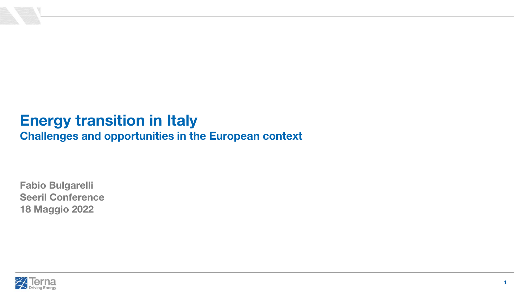

# **Energy transition in Italy**

**Challenges and opportunities in the European context**

**Fabio Bulgarelli Seeril Conference 18 Maggio 2022**

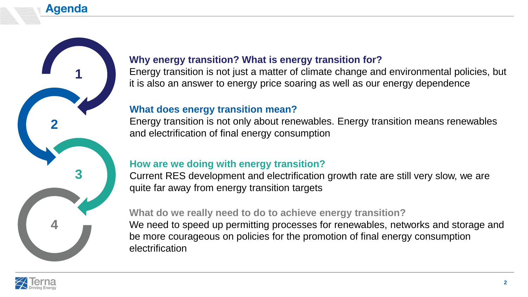



## **Why energy transition? What is energy transition for?**

Energy transition is not just a matter of climate change and environmental policies, but it is also an answer to energy price soaring as well as our energy dependence

## **What does energy transition mean?**

Energy transition is not only about renewables. Energy transition means renewables and electrification of final energy consumption

## **How are we doing with energy transition?**

Current RES development and electrification growth rate are still very slow, we are quite far away from energy transition targets

### **What do we really need to do to achieve energy transition?**

We need to speed up permitting processes for renewables, networks and storage and be more courageous on policies for the promotion of final energy consumption electrification

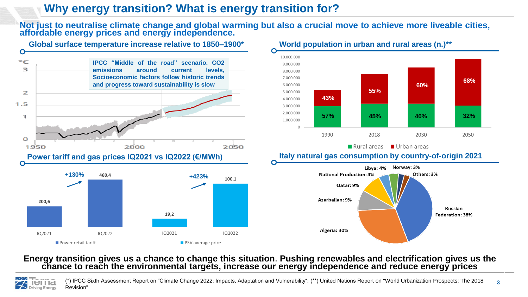## **Why energy transition? What is energy transition for?**

**PSV** average price

**Not just to neutralise climate change and global warming but also a crucial move to achieve more liveable cities, affordable energy prices and energy independence.**



#### **World population in urban and rural areas (n.)\*\***



■ Rural areas ■ Urban areas



#### **Energy transition gives us a chance to change this situation**. **Pushing renewables and electrification gives us the chance to reach the environmental targets, increase our energy independence and reduce energy prices**

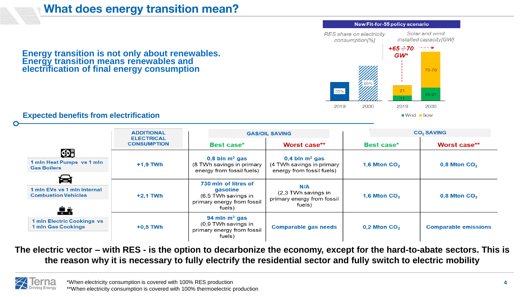## **What does energy transition mean?**

Solar and wind RES share on electricity installed capacity[GW] consumption<sup>[%]</sup>  $+65 \div 70$  $\rightarrow$   $\rightarrow$   $\rightarrow$ **Energy transition is not only about renewables.**  GW\* **Energy transition means renewables and electrification of final energy consumption**70-73  $21$  $25 - 27$ 2019 2030 2019 2030

#### **Expected benefits from electrification**

|                                                                                                        | <b>ADDITIONAL</b><br><b>ELECTRICAL</b><br><b>CONSUMPTION</b> | <b>GAS/OIL SAVING</b>                                                                           |                                                                                        | <b>CO<sub>2</sub> SAVING</b> |                             |
|--------------------------------------------------------------------------------------------------------|--------------------------------------------------------------|-------------------------------------------------------------------------------------------------|----------------------------------------------------------------------------------------|------------------------------|-----------------------------|
|                                                                                                        |                                                              | Best case*                                                                                      | Worst case**                                                                           | Best case*                   | Worst case**                |
| $\bigoplus$                                                                                            | $+1,9$ TWh                                                   | $0,8$ bln m <sup>3</sup> gas<br>(8 TWh savings in primary<br>energy from fossil fuels)          | $0,4$ bln m <sup>3</sup> gas<br>(4 TWh savings in primary<br>energy from fossil fuels) | 1,6 Mton $CO2$               | $0,8$ Mton CO <sub>2</sub>  |
| 1 mln Heat Pumps vs 1 mln<br><b>Gas Boilers</b>                                                        |                                                              |                                                                                                 |                                                                                        |                              |                             |
| e                                                                                                      |                                                              |                                                                                                 |                                                                                        |                              |                             |
| 1 mln EVs vs 1 mln Internal<br><b>Combustion Vehicles</b>                                              | $+2,1$ TWh                                                   | 730 mln of litres of<br>gasoline<br>(6,5 TWh savings in<br>primary energy from fossil<br>fuels) | N/A<br>(2,3 TWh savings in<br>primary energy from fossil<br>fuels)                     | 1,6 Mton $CO2$               | $0,8$ Mton CO <sub>2</sub>  |
| $\overline{\mathbf{e}}$ $\mathbf{e}$<br><b>1 mln Electric Cookings vs</b><br><b>1 mln Gas Cookings</b> | $+0,5$ TWh                                                   | 94 mln $m3$ gas<br>$(0,9)$ TWh savings in<br>primary energy from fossil<br>fuels)               | <b>Comparable gas needs</b>                                                            | $0,2$ Mton CO <sub>2</sub>   | <b>Comparable emissions</b> |

**The electric vector – with RES - is the option to decarbonize the economy, except for the hard-to-abate sectors. This is the reason why it is necessary to fully electrify the residential sector and fully switch to electric mobility**



■ Wind ■ Solar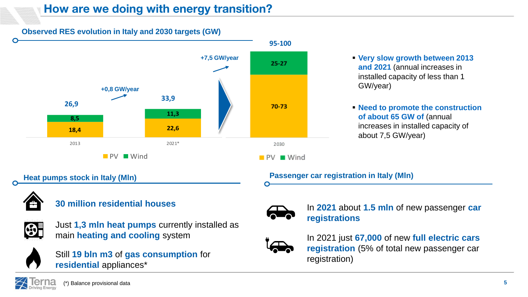## **How are we doing with energy transition?**

**Observed RES evolution in Italy and 2030 targets (GW)**



- **and 2021** (annual increases in installed capacity of less than 1 GW/year)
- **Need to promote the construction of about 65 GW of** (annual increases in installed capacity of about 7,5 GW/year)

**Heat pumps stock in Italy (MIn)** 

### **Passenger car registration in Italy (MIn)**





Just **1,3 mln heat pumps** currently installed as main **heating and cooling** system



registration) Still **19 bln m3** of **gas consumption** for **residential** appliances\*



**30 million residential houses** In 2021 about **1.5 mln** of new passenger car **registrations**



In 2021 just **67,000** of new **full electric cars registration** (5% of total new passenger car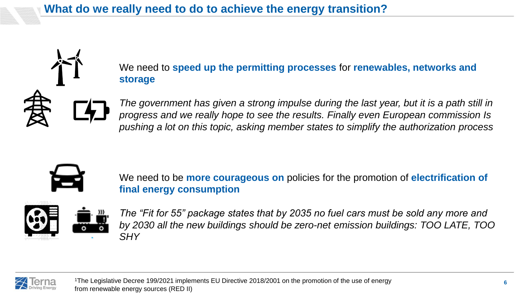We need to **speed up the permitting processes** for **renewables, networks and storage**

*The government has given a strong impulse during the last year, but it is a path still in progress and we really hope to see the results. Finally even European commission Is pushing a lot on this topic, asking member states to simplify the authorization process* 



We need to be **more courageous on** policies for the promotion of **electrification of final energy consumption**



*The "Fit for 55" package states that by 2035 no fuel cars must be sold any more and by 2030 all the new buildings should be zero-net emission buildings: TOO LATE, TOO SHY* 



<sup>1</sup>The Legislative Decree 199/2021 implements EU Directive 2018/2001 on the promotion of the use of energy from renewable energy sources (RED II)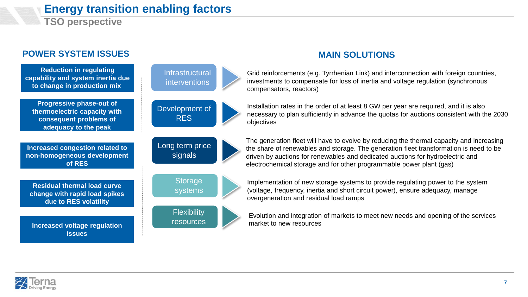

## **Energy transition enabling factors**

**TSO perspective**